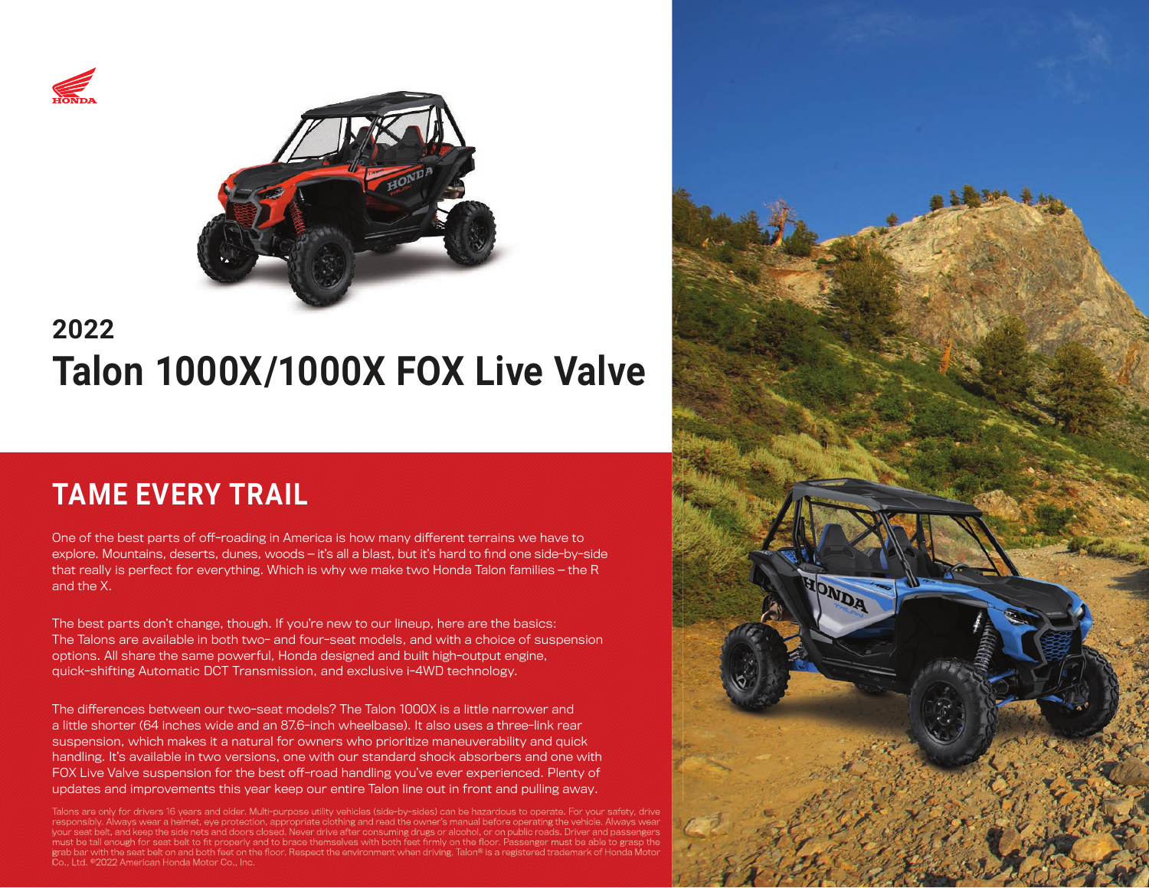



## **2022 Talon 1000X/1000X FOX Live Valve**

## **TAME EVERY TRAIL**

One of the best parts of off-roading in America is how many different terrains we have to explore. Mountains, deserts, dunes, woods - it's all a blast, but it's hard to find one side-by-side that really is perfect for everything. Which is why we make two Honda Talon families — the R and the X.

The best parts don't change, though. If you're new to our lineup, here are the basics: The Talons are available in both two- and four-seat models, and with a choice of suspension options. All share the same powerful, Honda designed and built high-output engine, quick-shifting Automatic DCT Transmission, and exclusive i-4WD technology.

The differences between our two-seat models? The Talon 1000X is a little narrower and a little shorter (64 inches wide and an 87.6-inch wheelbase). It also uses a three-link rear suspension, which makes it a natural for owners who prioritize maneuverability and quick handling. It's available in two versions, one with our standard shock absorbers and one with FOX Live Valve suspension for the best off-road handling you've ever experienced. Plenty of updates and improvements this year keep our entire Talon line out in front and pulling away.

responsibly. Always wear a helmet, eye protection, appropriate clothing and read the owner's manual before operating the vehicle. Always wear your seat belt, and keep the side nets and doors closed. Never drive after consuming drugs or alcohol, or on public roads. Driver and passengers must be tall enough for seat belt to fit properly and to brace themselves with both feet firmly on the floor. Passenger must be able to grasp the grab bar with the seat belt on and both feet on the floor. Respect the environment when driving. Talon® is a registered trademark of Honda Motor Co., Ltd. ©2022 American Honda Motor Co., Inc.

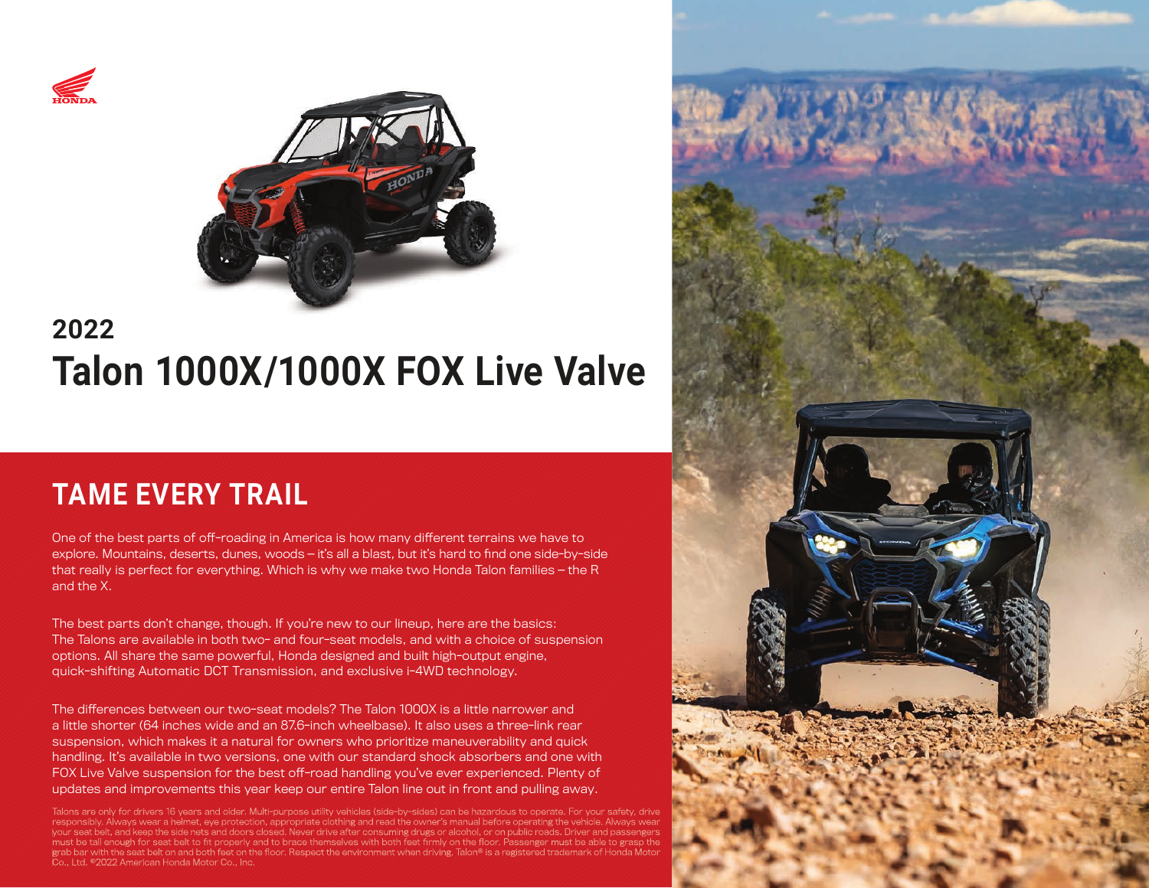



# **2022 Talon 1000X/1000X FOX Live Valve**

## **TAME EVERY TRAIL**

One of the best parts of off-roading in America is how many different terrains we have to explore. Mountains, deserts, dunes, woods - it's all a blast, but it's hard to find one side-by-side that really is perfect for everything. Which is why we make two Honda Talon families — the R and the X.

The best parts don't change, though. If you're new to our lineup, here are the basics: The Talons are available in both two- and four-seat models, and with a choice of suspension options. All share the same powerful, Honda designed and built high-output engine, quick-shifting Automatic DCT Transmission, and exclusive i-4WD technology.

The differences between our two-seat models? The Talon 1000X is a little narrower and a little shorter (64 inches wide and an 87.6-inch wheelbase). It also uses a three-link rear suspension, which makes it a natural for owners who prioritize maneuverability and quick handling. It's available in two versions, one with our standard shock absorbers and one with FOX Live Valve suspension for the best off-road handling you've ever experienced. Plenty of updates and improvements this year keep our entire Talon line out in front and pulling away.

Talons are only for drivers 16 years and older. Multi-purpose utility vehicles (side-by-sides) can be hazardous to operate. For your safety, drive responsibly. Always wear a helmet, eye protection, appropriate clothing and read the owner's manual before operating the vehicle. Always wear your seat belt, and keep the side nets and doors closed. Never drive after consuming drugs or alcohol, or on public roads. Driver and passengers must be tall enough for seat belt to fit properly and to brace themselves with both feet firmly on the floor. Passenger must be able to grasp the grab bar with the seat belt on and both feet on the floor. Respect the environment when driving. Talon® is a registered trademark of Honda Motor Co., Ltd. ©2022 American Honda Motor Co., Inc.

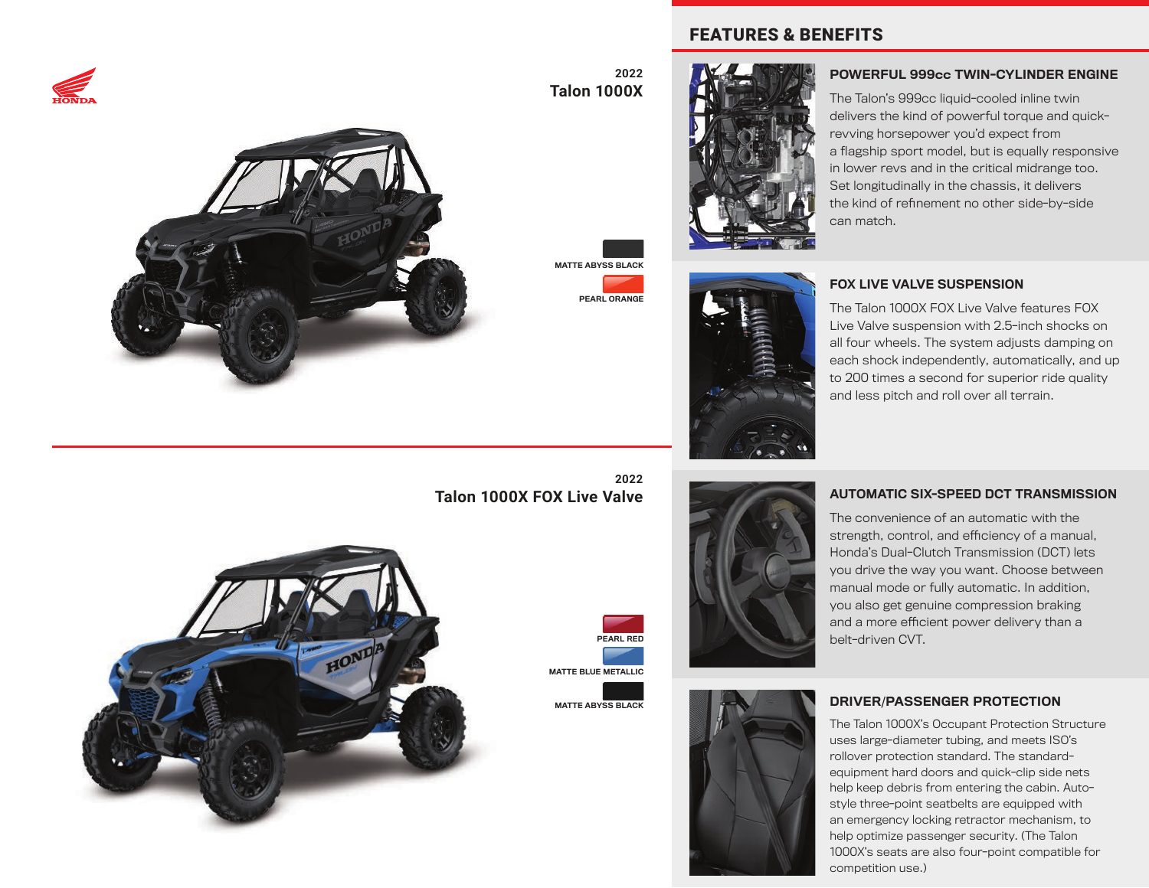



**2022 Talon 1000X**

MATTE ABYSS BLACK

PEARL ORANGE

#### FEATURES & BENEFITS





#### POWERFUL 999cc TWIN-CYLINDER ENGINE

The Talon's 999cc liquid-cooled inline twin delivers the kind of powerful torque and quickrevving horsepower you'd expect from a flagship sport model, but is equally responsive in lower revs and in the critical midrange too. Set longitudinally in the chassis, it delivers the kind of refinement no other side-by-side can match.

#### FOX LIVE VALVE SUSPENSION

The Talon 1000X FOX Live Valve features FOX Live Valve suspension with 2.5-inch shocks on all four wheels. The system adjusts damping on each shock independently, automatically, and up to 200 times a second for superior ride quality and less pitch and roll over all terrain.

**2022 Talon 1000X FOX Live Valve**





MATTE BLUE METALLIC

MATTE ABYSS BLACK



#### AUTOMATIC SIX-SPEED DCT TRANSMISSION

The convenience of an automatic with the strength, control, and efficiency of a manual, Honda's Dual-Clutch Transmission (DCT) lets you drive the way you want. Choose between manual mode or fully automatic. In addition, you also get genuine compression braking and a more efficient power delivery than a belt-driven CVT.



#### DRIVER/PASSENGER PROTECTION

The Talon 1000X's Occupant Protection Structure uses large-diameter tubing, and meets ISO's rollover protection standard. The standardequipment hard doors and quick-clip side nets help keep debris from entering the cabin. Autostyle three-point seatbelts are equipped with an emergency locking retractor mechanism, to help optimize passenger security. (The Talon 1000X's seats are also four-point compatible for competition use.)